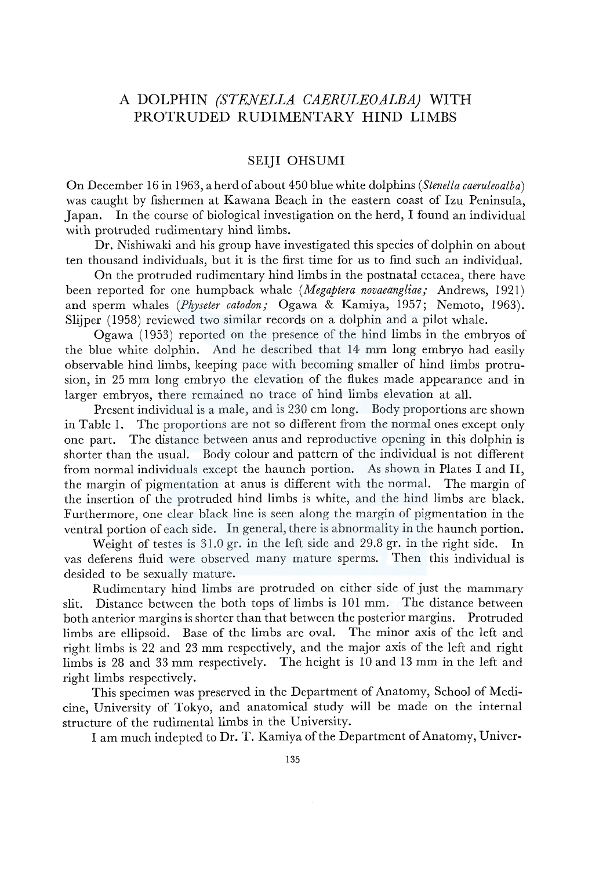# A DOLPHIN *(STENELLA CAERULEOALBA)* WITH PROTRUDED RUDIMENTARY HIND LIMBS

## SEIJI OHSUMI

On December 16 in 1963, a herd of about 450 blue white dolphins *(Stenella caeruleoalba)*  was caught by fishermen at Kawana Beach in the eastern coast of Izu Peninsula, Japan. In the course of biological investigation on the herd, I found an individual with protruded rudimentary hind limbs.

Dr. Nishiwaki and his group have investigated this species of dolphin on about ten thousand individuals, but it is the first time for us to find such an individual.

On the protruded rudimentary hind limbs in the postnatal cetacea, there have been reported for one humpback whale *(Megaptera novaeangliae;* Andrews, 1921) and sperm whales *(Physeter catodon;* Ogawa & Kamiya, 1957; Nemoto, 1963). Slijper (1958) reviewed two similar records on a dolphin and a pilot whale.

Ogawa (1953) reported on the presence of the hind limbs in the embryos of the blue white dolphin. And he described that 14 mm long embryo had easily observable hind limbs, keeping pace with becoming smaller of hind limbs protrusion, in 25 mm long embryo the elevation of the flukes made appearance and in larger embryos, there remained no trace of hind limbs elevation at all.

Present individual is a male, and is 230 cm long. Body proportions are shown in Table 1. The proportions are not so different from the normal ones except only one part. The distance between anus and reproductive opening in this dolphin is shorter than the usual. Body colour and pattern of the individual is not different from normal individuals except the haunch portion. As shown in Plates I and II, the margin of pigmentation at anus is different with the normal. The margin of the insertion of the protruded hind limbs is white, and the hind limbs are black. Furthermore, one clear black line is seen along the margin of pigmentation in the ventral portion of each side. In general, there is abnormality in the haunch portion.

Weight of testes is 31.0 gr. in the left side and 29.8 gr. in the right side. In vas deferens fluid were observed many mature sperms. Then this individual is desided to be sexually mature.

Rudimentary hind limbs are protruded on either side of just the mammary slit. Distance between the both tops of limbs is 101 mm. The distance between both anterior margins is shorter than that between the posterior margins. Protruded limbs are ellipsoid. Base of the limbs are oval. The minor axis of the left and right limbs is 22 and 23 mm respectively, and the major axis of the left and right limbs is 28 and 33 mm respectively. The height is 10 and 13 mm in the left and right limbs respectively.

This specimen was preserved in the Department of Anatomy, School of Medicine, University of Tokyo, and anatomical study will be made on the internal structure of the rudimental limbs in the University.

I am much indepted to Dr. T. Kamiya of the Department of Anatomy, Univer-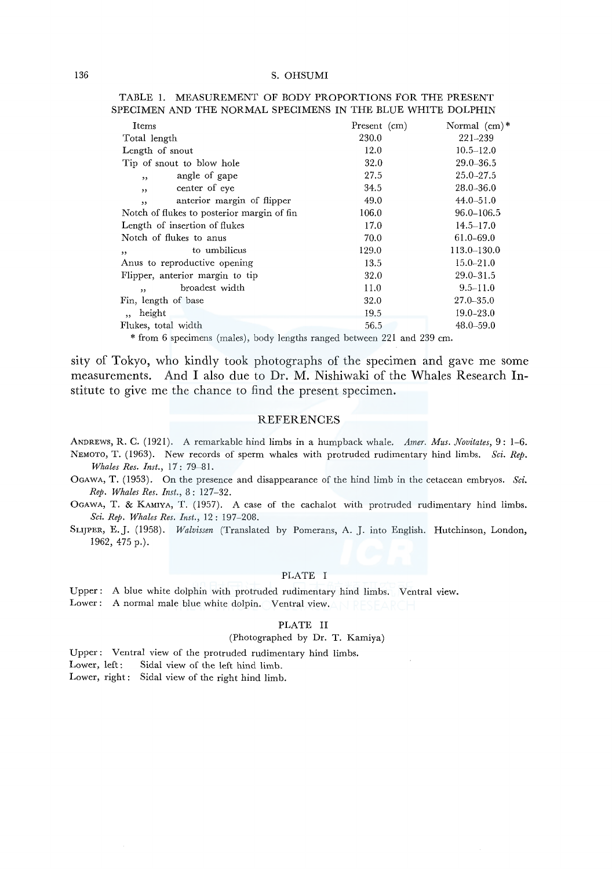| Items                                                  | Present (cm) | Normal $(cm)*$ |
|--------------------------------------------------------|--------------|----------------|
| Total length                                           | 230.0        | 221-239        |
| Length of snout                                        | 12.0         | $10.5 - 12.0$  |
| Tip of snout to blow hole                              | 32.0         | $29.0 - 36.5$  |
| angle of gape<br>,                                     | 27.5         | $25.0 - 27.5$  |
| center of eye<br>,                                     | 34.5         | $28.0 - 36.0$  |
| anterior margin of flipper<br>$\overline{\phantom{a}}$ | 49.0         | $44.0 - 51.0$  |
| Notch of flukes to posterior margin of fin             | 106.0        | 96.0-106.5     |
| Length of insertion of flukes                          | 17.0         | $14.5 - 17.0$  |
| Notch of flukes to anus                                | 70.0         | 61.0-69.0      |
| to umbilicus<br>,                                      | 129.0        | 113.0-130.0    |
| Anus to reproductive opening                           | 13.5         | $15.0 - 21.0$  |
| Flipper, anterior margin to tip                        | 32.0         | $29.0 - 31.5$  |
| broadest width<br>, ,                                  | 11.0         | $9.5 - 11.0$   |
| Fin, length of base                                    | 32.0         | $27.0 - 35.0$  |
| height<br>$, \,$                                       | 19.5         | $19.0 - 23.0$  |
| Flukes, total width                                    | 56.5         | $48.0 - 59.0$  |
|                                                        |              |                |

#### TABLE 1. MEASUREMENT OF BODY PROPORTIONS FOR THE PRESENT SPECIMEN AND THE NORMAL SPECIMENS IN THE BLUE WHITE DOLPHIN

\*from 6 specimens (males), body lengths ranged between 221 and 239 cm.

sity of Tokyo, who kindly took photographs of the specimen and gave me some measurements. And I also due to Dr. M. Nishiwaki of the Whales Research Institute to give me the chance to find the present specimen.

### REFERENCES

ANDREWS, R. C. (1921). A remarkable hind limbs in a humpback whale. *Amer. Mus. Novitates,* 9: 1-6. NEMOTO, T. (1963). New records of sperm whales with protruded rudimentary hind limbs. *Sci. Rep. Whales Res. Inst.,* 17: 79-81.

OGAWA, T. (1953). On the presence and disappearance of the hind limb in the cetacean embryos. *Sci. Rep. Whales Res. Inst.,* 8: 127-32.

OGAWA, T. & KAMIYA, T. (1957). A case of the cachalot with protruded rudimentary hind limbs. *Sci. Rep. Whales Res. Inst.,* 12: 197-208.

SLIJPER, E.J. (1958). *Walvissen* (Translated by Pomerans, A. *].* into English. Hutchinson, London, 1962, 475 p.).

#### PLATE I

Upper: A blue white dolphin with protruded rudimentary hind limbs. Ventral view. Lower: A normal male blue white dolpin. Ventral view.

#### PLATE II

### (Photographed by Dr. T. Kamiya)

Upper: Ventral view of the protruded rudimentary hind limbs.

Lower, left: Sidal view of the left hind limb.

Lower, right: Sidal view of the right hind limb.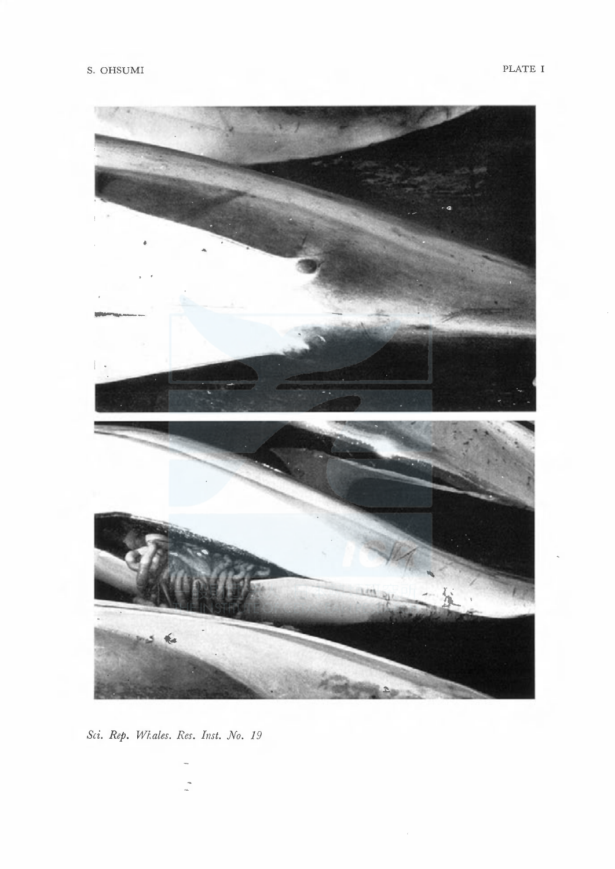

Sci. Rep. Whales. Res. Inst. No. 19